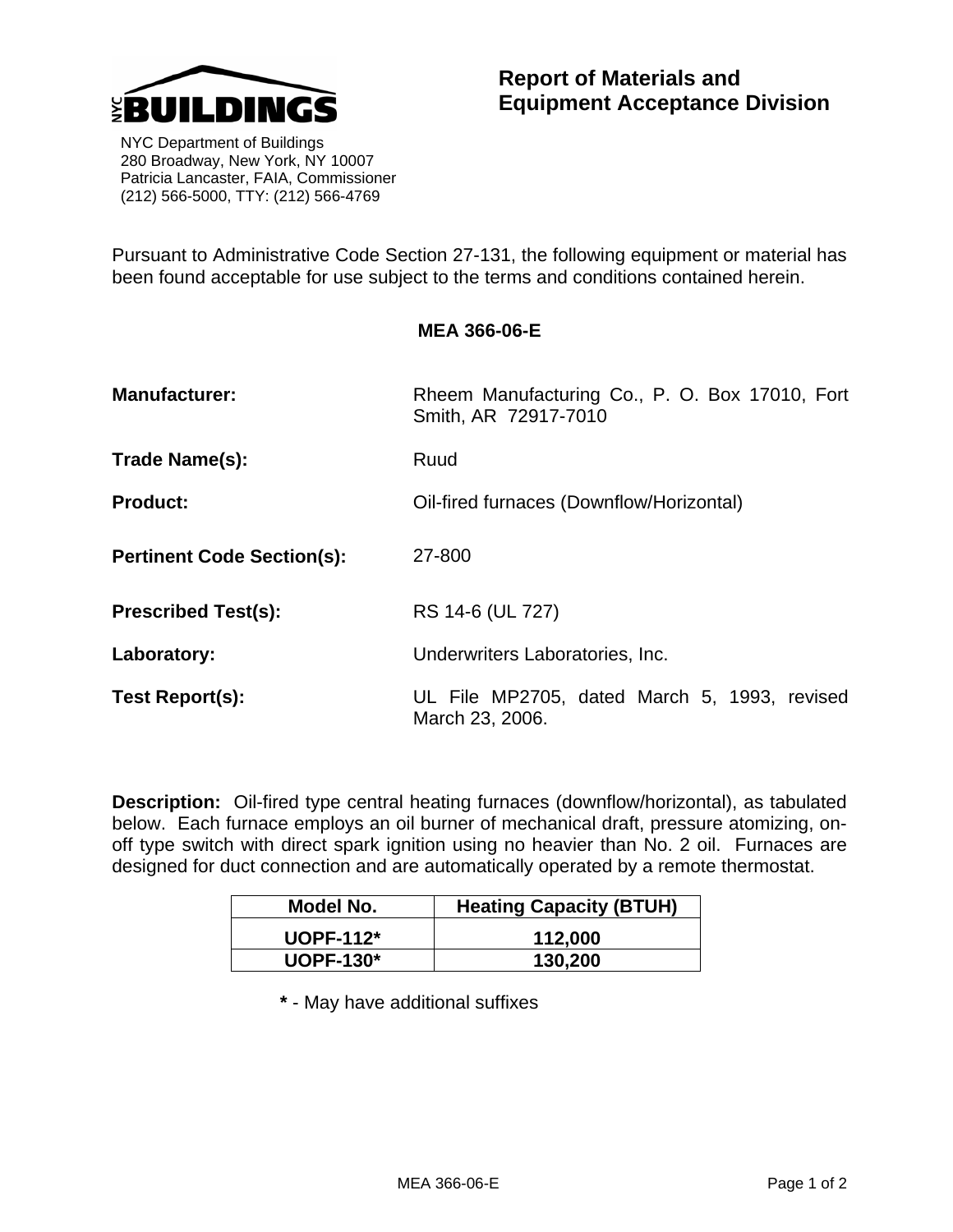

 NYC Department of Buildings 280 Broadway, New York, NY 10007 Patricia Lancaster, FAIA, Commissioner (212) 566-5000, TTY: (212) 566-4769

Pursuant to Administrative Code Section 27-131, the following equipment or material has been found acceptable for use subject to the terms and conditions contained herein.

| <b>Manufacturer:</b>              | Rheem Manufacturing Co., P. O. Box 17010, Fort<br>Smith, AR 72917-7010 |
|-----------------------------------|------------------------------------------------------------------------|
| Trade Name(s):                    | Ruud                                                                   |
| <b>Product:</b>                   | Oil-fired furnaces (Downflow/Horizontal)                               |
| <b>Pertinent Code Section(s):</b> | 27-800                                                                 |
| <b>Prescribed Test(s):</b>        | RS 14-6 (UL 727)                                                       |
| Laboratory:                       | Underwriters Laboratories, Inc.                                        |
| Test Report(s):                   | UL File MP2705, dated March 5, 1993, revised<br>March 23, 2006.        |

**Description:** Oil-fired type central heating furnaces (downflow/horizontal), as tabulated below. Each furnace employs an oil burner of mechanical draft, pressure atomizing, onoff type switch with direct spark ignition using no heavier than No. 2 oil. Furnaces are designed for duct connection and are automatically operated by a remote thermostat.

| Model No.        | <b>Heating Capacity (BTUH)</b> |
|------------------|--------------------------------|
| $U$ OPF-112 $*$  | 112,000                        |
| <b>UOPF-130*</b> | 130,200                        |

 **\*** - May have additional suffixes